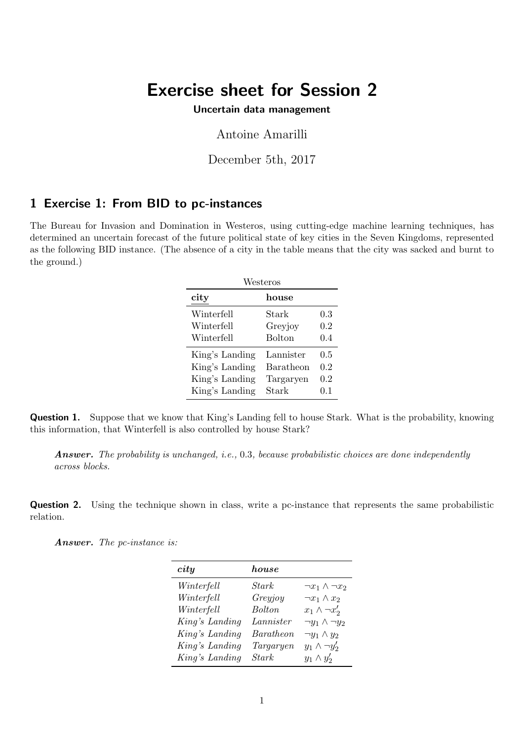# Exercise sheet for Session 2

Uncertain data management

Antoine Amarilli

December 5th, 2017

### 1 Exercise 1: From BID to pc-instances

The Bureau for Invasion and Domination in Westeros, using cutting-edge machine learning techniques, has determined an uncertain forecast of the future political state of key cities in the Seven Kingdoms, represented as the following BID instance. (The absence of a city in the table means that the city was sacked and burnt to the ground.)

| Westeros       |               |     |  |
|----------------|---------------|-----|--|
| city           | house         |     |  |
| Winterfell     | Stark         | 0.3 |  |
| Winterfell     | Greyjoy       | 0.2 |  |
| Winterfell     | <b>Bolton</b> | 0.4 |  |
| King's Landing | Lannister     | 0.5 |  |
| King's Landing | Baratheon     | 0.2 |  |
| King's Landing | Targaryen     | 0.2 |  |
| King's Landing | Stark         | 0.1 |  |

Question 1. Suppose that we know that King's Landing fell to house Stark. What is the probability, knowing this information, that Winterfell is also controlled by house Stark?

Answer. The probability is unchanged, i.e., 0.3, because probabilistic choices are done independently across blocks.

Question 2. Using the technique shown in class, write a pc-instance that represents the same probabilistic relation.

Answer. The pc-instance is:

| city           | house     |                            |
|----------------|-----------|----------------------------|
| Winterfell     | Stark     | $\neg x_1 \wedge \neg x_2$ |
| Winterfell     | Greyjoy   | $\neg x_1 \wedge x_2$      |
| Winterfell     | Bolton.   | $x_1 \wedge \neg x_2'$     |
| King's Landing | Lannister | $\neg y_1 \wedge \neg y_2$ |
| King's Landing | Baratheon | $\neg y_1 \wedge y_2$      |
| King's Landing | Targaryen | $y_1 \wedge \neg y_2'$     |
| King's Landing | Stark     | $y_1 \wedge y_2'$          |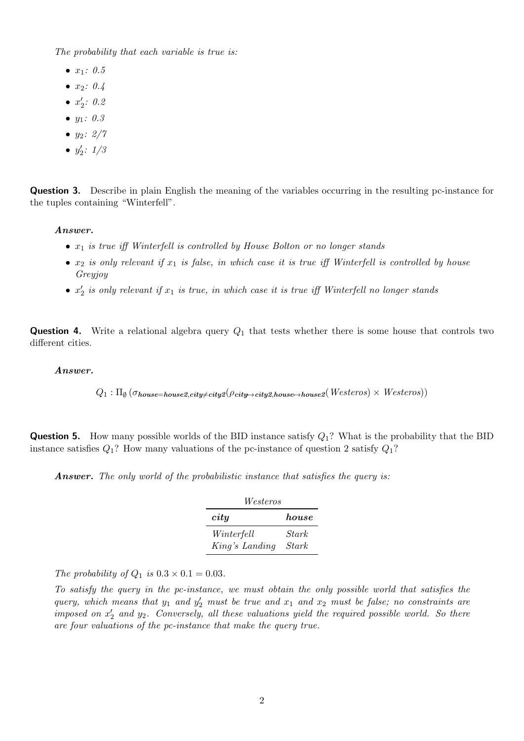The probability that each variable is true is:

- $x_1: 0.5$
- $x_2: 0.4$
- $x'_2$ : 0.2
- $y_1: 0.3$
- $y_2$ :  $2/7$
- $y'_2$ :  $1/3$

Question 3. Describe in plain English the meaning of the variables occurring in the resulting pc-instance for the tuples containing "Winterfell".

#### Answer.

- $x_1$  is true iff Winterfell is controlled by House Bolton or no longer stands
- $x_2$  is only relevant if  $x_1$  is false, in which case it is true iff Winterfell is controlled by house Greyjoy
- $x_2'$  is only relevant if  $x_1$  is true, in which case it is true iff Winterfell no longer stands

**Question 4.** Write a relational algebra query  $Q_1$  that tests whether there is some house that controls two different cities.

#### Answer.

$$
Q_1: \Pi_{\emptyset}(\sigma_{house=house2, city \neq city2}(\rho_{city \rightarrow city2, house \rightarrow house2}(Westeros) \times Westeros))
$$

**Question 5.** How many possible worlds of the BID instance satisfy  $Q_1$ ? What is the probability that the BID instance satisfies  $Q_1$ ? How many valuations of the pc-instance of question 2 satisfy  $Q_1$ ?

Answer. The only world of the probabilistic instance that satisfies the query is:

| Westeros       |              |  |  |
|----------------|--------------|--|--|
| city           | house        |  |  |
| Winterfell     | <b>Stark</b> |  |  |
| King's Landing | <i>Stark</i> |  |  |

The probability of  $Q_1$  is  $0.3 \times 0.1 = 0.03$ .

To satisfy the query in the pc-instance, we must obtain the only possible world that satisfies the query, which means that  $y_1$  and  $y_2'$  must be true and  $x_1$  and  $x_2$  must be false; no constraints are imposed on  $x_2'$  and  $y_2$ . Conversely, all these valuations yield the required possible world. So there are four valuations of the pc-instance that make the query true.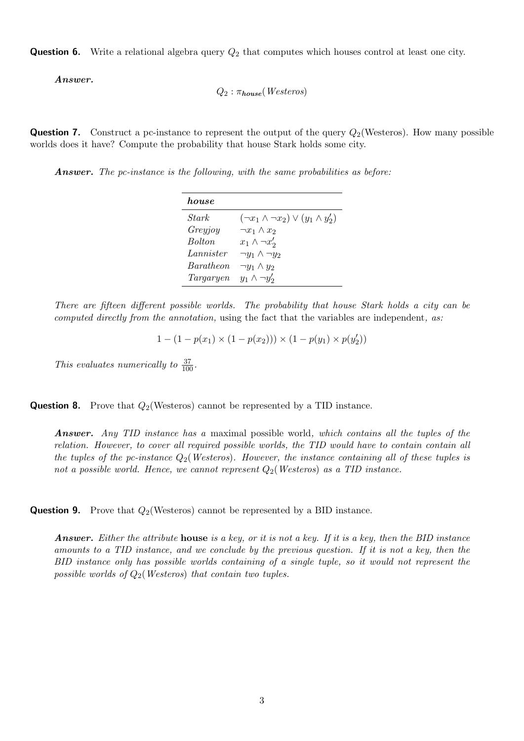**Question 6.** Write a relational algebra query  $Q_2$  that computes which houses control at least one city.

Answer.

$$
Q_2 : \pi_{house}( \mathit{Westeros})
$$

**Question 7.** Construct a pc-instance to represent the output of the query  $Q_2$  (Westeros). How many possible worlds does it have? Compute the probability that house Stark holds some city.

Answer. The pc-instance is the following, with the same probabilities as before:

| house            |                                                   |
|------------------|---------------------------------------------------|
| <i>Stark</i>     | $(\neg x_1 \land \neg x_2) \lor (y_1 \land y_2')$ |
| Greyjoy          | $\neg x_1 \wedge x_2$                             |
| <b>Bolton</b>    | $x_1 \wedge \neg x_2'$                            |
| Lannister        | $\neg y_1 \wedge \neg y_2$                        |
| <i>Baratheon</i> | $\neg y_1 \wedge y_2$                             |
| Targaryen        | $y_1 \wedge \neg y_2'$                            |

There are fifteen different possible worlds. The probability that house Stark holds a city can be computed directly from the annotation, using the fact that the variables are independent, as:

1 –  $(1 - p(x_1) \times (1 - p(x_2))) \times (1 - p(y_1) \times p(y_2'))$ 

This evaluates numerically to  $\frac{37}{100}$ .

**Question 8.** Prove that  $Q_2$ (Westeros) cannot be represented by a TID instance.

Answer. Any TID instance has a maximal possible world, which contains all the tuples of the relation. However, to cover all required possible worlds, the TID would have to contain contain all the tuples of the pc-instance  $Q_2$  (Westeros). However, the instance containing all of these tuples is not a possible world. Hence, we cannot represent  $Q_2$  (Westeros) as a TID instance.

**Question 9.** Prove that  $Q_2$ (Westeros) cannot be represented by a BID instance.

**Answer.** Either the attribute **house** is a key, or it is not a key. If it is a key, then the BID instance amounts to a TID instance, and we conclude by the previous question. If it is not a key, then the BID instance only has possible worlds containing of a single tuple, so it would not represent the possible worlds of  $Q_2$ (*Westeros*) that contain two tuples.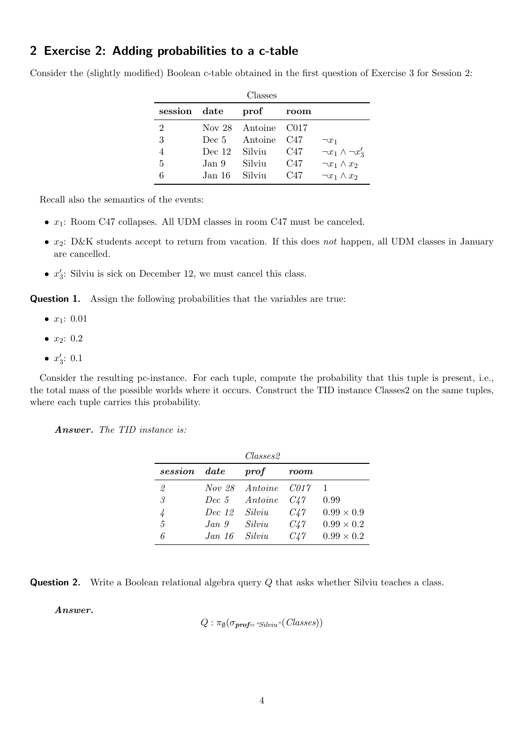## 2 Exercise 2: Adding probabilities to a c-table

Consider the (slightly modified) Boolean c-table obtained in the first question of Exercise 3 for Session 2:

| Classes        |               |                     |      |                             |
|----------------|---------------|---------------------|------|-----------------------------|
| session date   |               | prof                | room |                             |
| $\overline{2}$ |               | Nov 28 Antoine C017 |      |                             |
| 3              |               | Dec 5 Antoine C47   |      | $\neg x_1$                  |
| 4              | Dec 12 Silviu |                     | C47  | $\neg x_1 \wedge \neg x_3'$ |
| 5              | Jan 9         | Silviu              | C47  | $\neg x_1 \wedge x_2$       |
| 6              | Jan 16 Silviu |                     | C47  | $\neg x_1 \wedge x_2$       |

Recall also the semantics of the events:

- $x_1$ : Room C47 collapses. All UDM classes in room C47 must be canceled.
- $x_2$ : D&K students accept to return from vacation. If this does not happen, all UDM classes in January are cancelled.
- $x'_3$ : Silviu is sick on December 12, we must cancel this class.

**Question 1.** Assign the following probabilities that the variables are true:

- $x_1: 0.01$
- $x_2: 0.2$
- $x'_3: 0.1$

Consider the resulting pc-instance. For each tuple, compute the probability that this tuple is present, i.e., the total mass of the possible worlds where it occurs. Construct the TID instance Classes2 on the same tuples, where each tuple carries this probability.

Answer. The TID instance is:

|                |               | $\mathit{Classes2}$ |          |                   |
|----------------|---------------|---------------------|----------|-------------------|
| session        | $\emph{date}$ | $\it prof$          | room     |                   |
| 2              | Nov 28        | Antoine             | C017     |                   |
| 3              | Dec~5         | Antoine             | C47      | 0.99              |
|                | Dec. 12       | Silviu              | $C_{4}7$ | $0.99 \times 0.9$ |
| $\overline{5}$ | Jan.9         | Silviu              | $C_{4}7$ | $0.99 \times 0.2$ |
| 6              | Jan 16        | Silviu              | $C_{4}7$ | $0.99 \times 0.2$ |



Answer.

$$
Q : \pi_{\emptyset}(\sigma_{\text{prof}=\text{``Silviu''}}(Classes))
$$